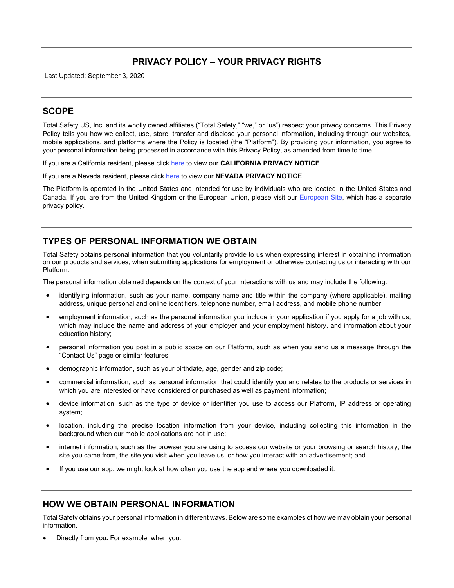# **PRIVACY POLICY – YOUR PRIVACY RIGHTS**

Last Updated: September 3, 2020

## **SCOPE**

Total Safety US, Inc. and its wholly owned affiliates ("Total Safety," "we," or "us") respect your privacy concerns. This Privacy Policy tells you how we collect, use, store, transfer and disclose your personal information, including through our websites, mobile applications, and platforms where the Policy is located (the "Platform"). By providing your information, you agree to your personal information being processed in accordance with this Privacy Policy, as amended from time to time.

If you are a California resident, please click [here](#page-4-0) to view our **CALIFORNIA PRIVACY NOTICE**.

If you are a Nevada resident, please click [here](#page-5-0) to view our **NEVADA PRIVACY NOTICE**.

The Platform is operated in the United States and intended for use by individuals who are located in the United States and Canada. If you are from the United Kingdom or the European Union, please visit our [European Site,](http://totalsafety.net/) which has a separate privacy policy.

## **TYPES OF PERSONAL INFORMATION WE OBTAIN**

Total Safety obtains personal information that you voluntarily provide to us when expressing interest in obtaining information on our products and services, when submitting applications for employment or otherwise contacting us or interacting with our Platform.

The personal information obtained depends on the context of your interactions with us and may include the following:

- identifying information, such as your name, company name and title within the company (where applicable), mailing address, unique personal and online identifiers, telephone number, email address, and mobile phone number;
- employment information, such as the personal information you include in your application if you apply for a job with us, which may include the name and address of your employer and your employment history, and information about your education history;
- personal information you post in a public space on our Platform, such as when you send us a message through the "Contact Us" page or similar features;
- demographic information, such as your birthdate, age, gender and zip code;
- commercial information, such as personal information that could identify you and relates to the products or services in which you are interested or have considered or purchased as well as payment information:
- device information, such as the type of device or identifier you use to access our Platform, IP address or operating system;
- location, including the precise location information from your device, including collecting this information in the background when our mobile applications are not in use;
- internet information, such as the browser you are using to access our website or your browsing or search history, the site you came from, the site you visit when you leave us, or how you interact with an advertisement; and
- If you use our app, we might look at how often you use the app and where you downloaded it.

### **HOW WE OBTAIN PERSONAL INFORMATION**

Total Safety obtains your personal information in different ways. Below are some examples of how we may obtain your personal information.

• Directly from you**.** For example, when you: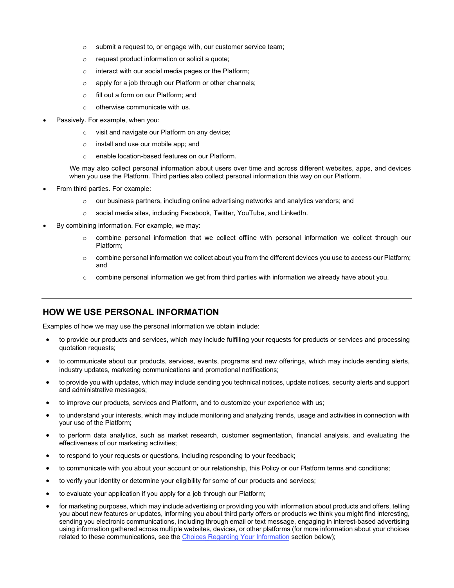- $\circ$  submit a request to, or engage with, our customer service team;
- $\circ$  request product information or solicit a quote:
- o interact with our social media pages or the Platform;
- o apply for a job through our Platform or other channels;
- o fill out a form on our Platform; and
- $\circ$  otherwise communicate with us.
- Passively. For example, when you:
	- o visit and navigate our Platform on any device;
	- o install and use our mobile app; and
	- o enable location-based features on our Platform.

We may also collect personal information about users over time and across different websites, apps, and devices when you use the Platform. Third parties also collect personal information this way on our Platform.

- From third parties. For example:
	- $\circ$  our business partners, including online advertising networks and analytics vendors; and
	- o social media sites, including Facebook, Twitter, YouTube, and LinkedIn.
- By combining information. For example, we may:
	- $\circ$  combine personal information that we collect offline with personal information we collect through our Platform;
	- o combine personal information we collect about you from the different devices you use to access our Platform; and
	- $\circ$  combine personal information we get from third parties with information we already have about you.

### **HOW WE USE PERSONAL INFORMATION**

Examples of how we may use the personal information we obtain include:

- to provide our products and services, which may include fulfilling your requests for products or services and processing quotation requests;
- to communicate about our products, services, events, programs and new offerings, which may include sending alerts, industry updates, marketing communications and promotional notifications;
- to provide you with updates, which may include sending you technical notices, update notices, security alerts and support and administrative messages;
- to improve our products, services and Platform, and to customize your experience with us;
- to understand your interests, which may include monitoring and analyzing trends, usage and activities in connection with your use of the Platform;
- to perform data analytics, such as market research, customer segmentation, financial analysis, and evaluating the effectiveness of our marketing activities;
- to respond to your requests or questions, including responding to your feedback;
- to communicate with you about your account or our relationship, this Policy or our Platform terms and conditions;
- to verify your identity or determine your eligibility for some of our products and services;
- to evaluate your application if you apply for a job through our Platform;
- for marketing purposes, which may include advertising or providing you with information about products and offers, telling you about new features or updates, informing you about third party offers or products we think you might find interesting, sending you electronic communications, including through email or text message, engaging in interest-based advertising using information gathered across multiple websites, devices, or other platforms (for more information about your choices related to these communications, see the [Choices](#page-3-0) Regarding Your Information section below);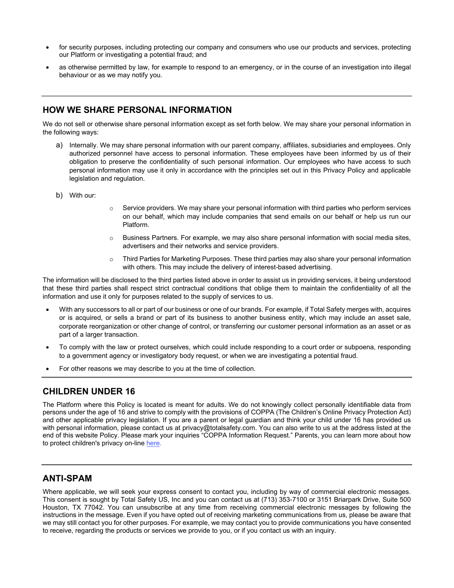- for security purposes, including protecting our company and consumers who use our products and services, protecting our Platform or investigating a potential fraud; and
- as otherwise permitted by law, for example to respond to an emergency, or in the course of an investigation into illegal behaviour or as we may notify you.

### **HOW WE SHARE PERSONAL INFORMATION**

We do not sell or otherwise share personal information except as set forth below. We may share your personal information in the following ways:

- a) Internally. We may share personal information with our parent company, affiliates, subsidiaries and employees. Only authorized personnel have access to personal information. These employees have been informed by us of their obligation to preserve the confidentiality of such personal information. Our employees who have access to such personal information may use it only in accordance with the principles set out in this Privacy Policy and applicable legislation and regulation.
- b) With our:
- $\circ$  Service providers. We may share your personal information with third parties who perform services on our behalf, which may include companies that send emails on our behalf or help us run our Platform.
- $\circ$  Business Partners. For example, we may also share personal information with social media sites, advertisers and their networks and service providers.
- o Third Parties for Marketing Purposes. These third parties may also share your personal information with others. This may include the delivery of interest-based advertising.

The information will be disclosed to the third parties listed above in order to assist us in providing services, it being understood that these third parties shall respect strict contractual conditions that oblige them to maintain the confidentiality of all the information and use it only for purposes related to the supply of services to us.

- With any successors to all or part of our business or one of our brands. For example, if Total Safety merges with, acquires or is acquired, or sells a brand or part of its business to another business entity, which may include an asset sale, corporate reorganization or other change of control, or transferring our customer personal information as an asset or as part of a larger transaction.
- To comply with the law or protect ourselves, which could include responding to a court order or subpoena, responding to a government agency or investigatory body request, or when we are investigating a potential fraud.
- For other reasons we may describe to you at the time of collection.

## **CHILDREN UNDER 16**

The Platform where this Policy is located is meant for adults. We do not knowingly collect personally identifiable data from persons under the age of 16 and strive to comply with the provisions of COPPA (The Children's Online Privacy Protection Act) and other applicable privacy legislation. If you are a parent or legal guardian and think your child under 16 has provided us with personal information, please contact us at privacy@totalsafety.com. You can also write to us at the address listed at the end of this website Policy. Please mark your inquiries "COPPA Information Request." Parents, you can learn more about how to protect children's privacy on-line [here.](https://www.consumer.ftc.gov/articles/0031-protecting-your-childs-privacy-online)

### **ANTI-SPAM**

Where applicable, we will seek your express consent to contact you, including by way of commercial electronic messages. This consent is sought by Total Safety US, Inc and you can contact us at (713) 353-7100 or 3151 Briarpark Drive, Suite 500 Houston, TX 77042. You can unsubscribe at any time from receiving commercial electronic messages by following the instructions in the message. Even if you have opted out of receiving marketing communications from us, please be aware that we may still contact you for other purposes. For example, we may contact you to provide communications you have consented to receive, regarding the products or services we provide to you, or if you contact us with an inquiry.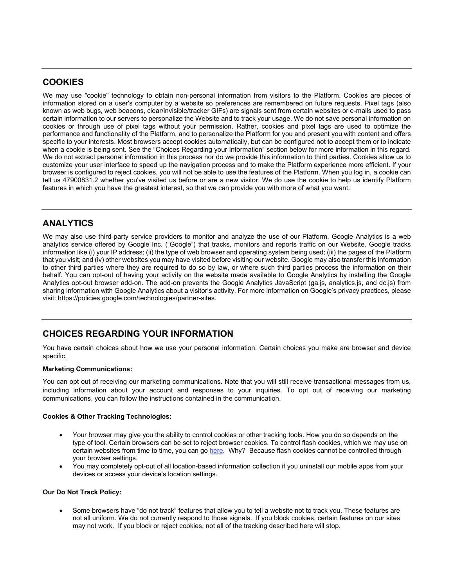## **COOKIES**

We may use "cookie" technology to obtain non-personal information from visitors to the Platform. Cookies are pieces of information stored on a user's computer by a website so preferences are remembered on future requests. Pixel tags (also known as web bugs, web beacons, clear/invisible/tracker GIFs) are signals sent from certain websites or e-mails used to pass certain information to our servers to personalize the Website and to track your usage. We do not save personal information on cookies or through use of pixel tags without your permission. Rather, cookies and pixel tags are used to optimize the performance and functionality of the Platform, and to personalize the Platform for you and present you with content and offers specific to your interests. Most browsers accept cookies automatically, but can be configured not to accept them or to indicate when a cookie is being sent. See the "Choices Regarding your Information" section below for more information in this regard. We do not extract personal information in this process nor do we provide this information to third parties. Cookies allow us to customize your user interface to speed up the navigation process and to make the Platform experience more efficient. If your browser is configured to reject cookies, you will not be able to use the features of the Platform. When you log in, a cookie can tell us 47900831.2 whether you've visited us before or are a new visitor. We do use the cookie to help us identify Platform features in which you have the greatest interest, so that we can provide you with more of what you want.

# **ANALYTICS**

We may also use third-party service providers to monitor and analyze the use of our Platform. Google Analytics is a web analytics service offered by Google Inc. ("Google") that tracks, monitors and reports traffic on our Website. Google tracks information like (i) your IP address; (ii) the type of web browser and operating system being used; (iii) the pages of the Platform that you visit; and (iv) other websites you may have visited before visiting our website. Google may also transfer this information to other third parties where they are required to do so by law, or where such third parties process the information on their behalf. You can opt-out of having your activity on the website made available to Google Analytics by installing the Google Analytics opt-out browser add-on. The add-on prevents the Google Analytics JavaScript (ga.js, analytics.js, and dc.js) from sharing information with Google Analytics about a visitor's activity. For more information on Google's privacy practices, please visit: https://policies.google.com/technologies/partner-sites.

# <span id="page-3-0"></span>**CHOICES REGARDING YOUR INFORMATION**

You have certain choices about how we use your personal information. Certain choices you make are browser and device specific.

#### **Marketing Communications:**

You can opt out of receiving our marketing communications. Note that you will still receive transactional messages from us, including information about your account and responses to your inquiries. To opt out of receiving our marketing communications, you can follow the instructions contained in the communication.

#### **Cookies & Other Tracking Technologies:**

- Your browser may give you the ability to control cookies or other tracking tools. How you do so depends on the type of tool. Certain browsers can be set to reject browser cookies. To control flash cookies, which we may use on certain websites from time to time, you can g[o here.](http://www.macromedia.com/support/documentation/en/flashplayer/help/settings_manager07.html) Why? Because flash cookies cannot be controlled through your browser settings.
- You may completely opt-out of all location-based information collection if you uninstall our mobile apps from your devices or access your device's location settings.

#### **Our Do Not Track Policy:**

• Some browsers have "do not track" features that allow you to tell a website not to track you. These features are not all uniform. We do not currently respond to those signals. If you block cookies, certain features on our sites may not work. If you block or reject cookies, not all of the tracking described here will stop.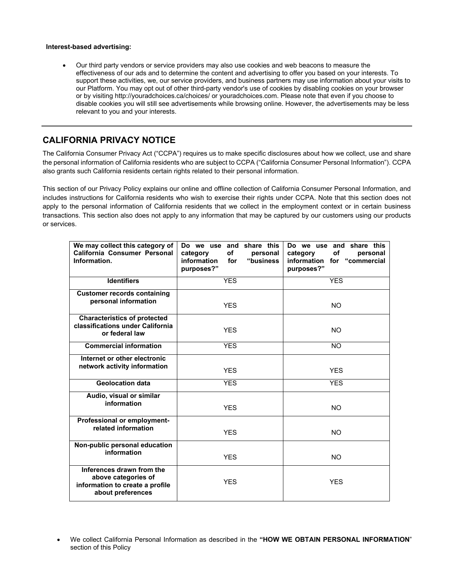#### **Interest-based advertising:**

• Our third party vendors or service providers may also use cookies and web beacons to measure the effectiveness of our ads and to determine the content and advertising to offer you based on your interests. To support these activities, we, our service providers, and business partners may use information about your visits to our Platform. You may opt out of other third-party vendor's use of cookies by disabling cookies on your browser or by visiting http://youradchoices.ca/choices/ or youradchoices.com. Please note that even if you choose to disable cookies you will still see advertisements while browsing online. However, the advertisements may be less relevant to you and your interests.

# <span id="page-4-0"></span>**CALIFORNIA PRIVACY NOTICE**

The California Consumer Privacy Act ("CCPA") requires us to make specific disclosures about how we collect, use and share the personal information of California residents who are subject to CCPA ("California Consumer Personal Information"). CCPA also grants such California residents certain rights related to their personal information.

This section of our Privacy Policy explains our online and offline collection of California Consumer Personal Information, and includes instructions for California residents who wish to exercise their rights under CCPA. Note that this section does not apply to the personal information of California residents that we collect in the employment context or in certain business transactions. This section also does not apply to any information that may be captured by our customers using our products or services.

| We may collect this category of<br>California Consumer Personal<br>Information.                          | Do we use and share this<br>of<br>category<br>personal<br>information<br>"business<br>for<br>purposes?" | Do we use and share this<br>of<br>category<br>personal<br>information for "commercial<br>purposes?" |
|----------------------------------------------------------------------------------------------------------|---------------------------------------------------------------------------------------------------------|-----------------------------------------------------------------------------------------------------|
| <b>Identifiers</b>                                                                                       | <b>YES</b>                                                                                              | <b>YES</b>                                                                                          |
| <b>Customer records containing</b><br>personal information                                               | <b>YES</b>                                                                                              | NO.                                                                                                 |
| <b>Characteristics of protected</b><br>classifications under California<br>or federal law                | <b>YES</b>                                                                                              | NO.                                                                                                 |
| <b>Commercial information</b>                                                                            | <b>YES</b>                                                                                              | <b>NO</b>                                                                                           |
| Internet or other electronic<br>network activity information                                             | <b>YES</b>                                                                                              | <b>YES</b>                                                                                          |
| <b>Geolocation data</b>                                                                                  | <b>YES</b>                                                                                              | <b>YFS</b>                                                                                          |
| Audio, visual or similar<br>information                                                                  | <b>YES</b>                                                                                              | <b>NO</b>                                                                                           |
| Professional or employment-<br>related information                                                       | <b>YES</b>                                                                                              | <b>NO</b>                                                                                           |
| Non-public personal education<br>information                                                             | <b>YES</b>                                                                                              | NO.                                                                                                 |
| Inferences drawn from the<br>above categories of<br>information to create a profile<br>about preferences | <b>YES</b>                                                                                              | <b>YES</b>                                                                                          |

<sup>•</sup> We collect California Personal Information as described in the **"HOW WE OBTAIN PERSONAL INFORMATION**" section of this Policy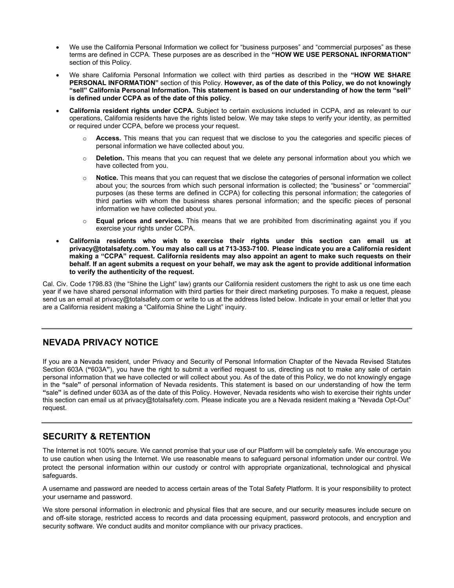- We use the California Personal Information we collect for "business purposes" and "commercial purposes" as these terms are defined in CCPA. These purposes are as described in the **"HOW WE USE PERSONAL INFORMATION"** section of this Policy.
- We share California Personal Information we collect with third parties as described in the **"HOW WE SHARE PERSONAL INFORMATION"** section of this Policy. **However, as of the date of this Policy, we do not knowingly "sell" California Personal Information. This statement is based on our understanding of how the term "sell" is defined under CCPA as of the date of this policy.**
- **California resident rights under CCPA.** Subject to certain exclusions included in CCPA, and as relevant to our operations, California residents have the rights listed below. We may take steps to verify your identity, as permitted or required under CCPA, before we process your request.
	- o **Access.** This means that you can request that we disclose to you the categories and specific pieces of personal information we have collected about you.
	- o **Deletion.** This means that you can request that we delete any personal information about you which we have collected from you.
	- o **Notice.** This means that you can request that we disclose the categories of personal information we collect about you; the sources from which such personal information is collected; the "business" or "commercial" purposes (as these terms are defined in CCPA) for collecting this personal information; the categories of third parties with whom the business shares personal information; and the specific pieces of personal information we have collected about you.
	- o **Equal prices and services.** This means that we are prohibited from discriminating against you if you exercise your rights under CCPA.
- **California residents who wish to exercise their rights under this section can email us at privacy@totalsafety.com. You may also call us at 713-353-7100. Please indicate you are a California resident making a "CCPA" request. California residents may also appoint an agent to make such requests on their behalf. If an agent submits a request on your behalf, we may ask the agent to provide additional information to verify the authenticity of the request.**

Cal. Civ. Code 1798.83 (the "Shine the Light" law) grants our California resident customers the right to ask us one time each year if we have shared personal information with third parties for their direct marketing purposes. To make a request, please send us an email at privacy@totalsafety.com or write to us at the address listed below. Indicate in your email or letter that you are a California resident making a "California Shine the Light" inquiry.

## <span id="page-5-0"></span>**NEVADA PRIVACY NOTICE**

If you are a Nevada resident, under Privacy and Security of Personal Information Chapter of the Nevada Revised Statutes Section 603A (**"**603A**"**), you have the right to submit a verified request to us, directing us not to make any sale of certain personal information that we have collected or will collect about you. As of the date of this Policy, we do not knowingly engage in the **"**sale**"** of personal information of Nevada residents. This statement is based on our understanding of how the term **"**sale**"** is defined under 603A as of the date of this Policy. However, Nevada residents who wish to exercise their rights under this section can email us at privacy@totalsafety.com. Please indicate you are a Nevada resident making a "Nevada Opt-Out" request.

## **SECURITY & RETENTION**

The Internet is not 100% secure. We cannot promise that your use of our Platform will be completely safe. We encourage you to use caution when using the Internet. We use reasonable means to safeguard personal information under our control. We protect the personal information within our custody or control with appropriate organizational, technological and physical safeguards.

A username and password are needed to access certain areas of the Total Safety Platform. It is your responsibility to protect your username and password.

We store personal information in electronic and physical files that are secure, and our security measures include secure on and off-site storage, restricted access to records and data processing equipment, password protocols, and encryption and security software. We conduct audits and monitor compliance with our privacy practices.